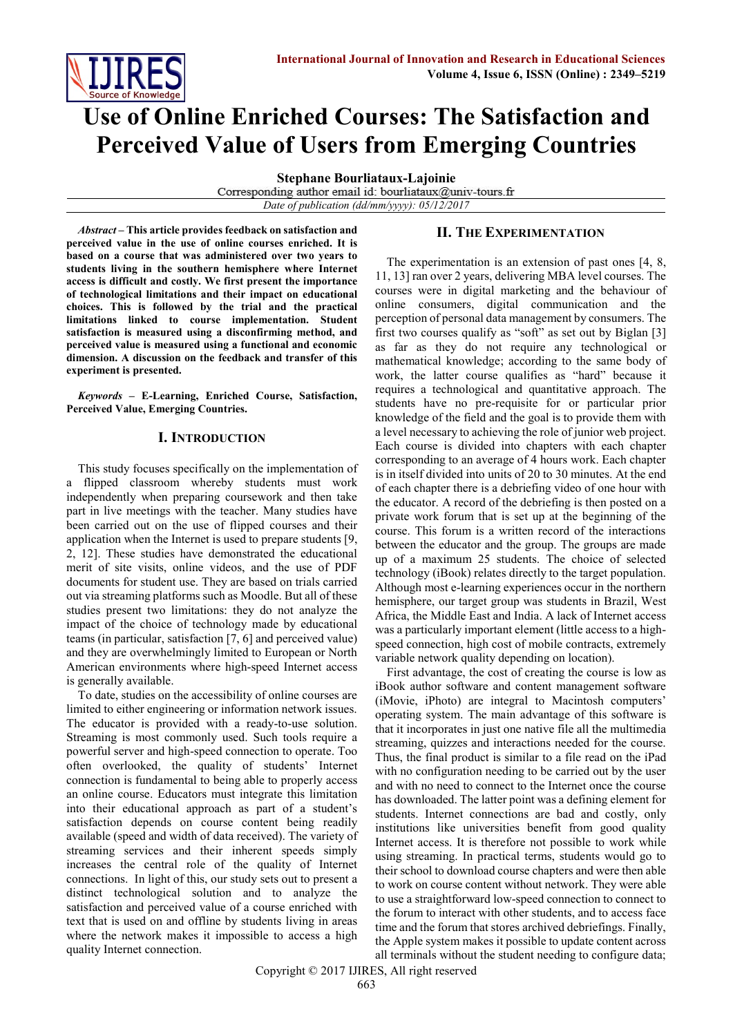

# **Use of Online Enriched Courses: The Satisfaction and Perceived Value of Users from Emerging Countries**

**Stephane Bourliataux-Lajoinie**

Corresponding author email id: bourliataux@univ-tours.fr *Date of publication (dd/mm/yyyy): 05/12/2017*

*Abstract* **– This article provides feedback on satisfaction and perceived value in the use of online courses enriched. It is based on a course that was administered over two years to students living in the southern hemisphere where Internet access is difficult and costly. We first present the importance of technological limitations and their impact on educational choices. This is followed by the trial and the practical limitations linked to course implementation. Student satisfaction is measured using a disconfirming method, and perceived value is measured using a functional and economic dimension. A discussion on the feedback and transfer of this experiment is presented.** 

*Keywords –* **E-Learning, Enriched Course, Satisfaction, Perceived Value, Emerging Countries.**

### **I. INTRODUCTION**

This study focuses specifically on the implementation of a flipped classroom whereby students must work independently when preparing coursework and then take part in live meetings with the teacher. Many studies have been carried out on the use of flipped courses and their application when the Internet is used to prepare students [9, 2, 12]. These studies have demonstrated the educational merit of site visits, online videos, and the use of PDF documents for student use. They are based on trials carried out via streaming platforms such as Moodle. But all of these studies present two limitations: they do not analyze the impact of the choice of technology made by educational teams (in particular, satisfaction [7, 6] and perceived value) and they are overwhelmingly limited to European or North American environments where high-speed Internet access is generally available.

To date, studies on the accessibility of online courses are limited to either engineering or information network issues. The educator is provided with a ready-to-use solution. Streaming is most commonly used. Such tools require a powerful server and high-speed connection to operate. Too often overlooked, the quality of students' Internet connection is fundamental to being able to properly access an online course. Educators must integrate this limitation into their educational approach as part of a student's satisfaction depends on course content being readily available (speed and width of data received). The variety of streaming services and their inherent speeds simply increases the central role of the quality of Internet connections. In light of this, our study sets out to present a distinct technological solution and to analyze the satisfaction and perceived value of a course enriched with text that is used on and offline by students living in areas where the network makes it impossible to access a high quality Internet connection.

## **II. THE EXPERIMENTATION**

The experimentation is an extension of past ones [4, 8, 11, 13] ran over 2 years, delivering MBA level courses. The courses were in digital marketing and the behaviour of online consumers, digital communication and the perception of personal data management by consumers. The first two courses qualify as "soft" as set out by Biglan [3] as far as they do not require any technological or mathematical knowledge; according to the same body of work, the latter course qualifies as "hard" because it requires a technological and quantitative approach. The students have no pre-requisite for or particular prior knowledge of the field and the goal is to provide them with a level necessary to achieving the role of junior web project. Each course is divided into chapters with each chapter corresponding to an average of 4 hours work. Each chapter is in itself divided into units of 20 to 30 minutes. At the end of each chapter there is a debriefing video of one hour with the educator. A record of the debriefing is then posted on a private work forum that is set up at the beginning of the course. This forum is a written record of the interactions between the educator and the group. The groups are made up of a maximum 25 students. The choice of selected technology (iBook) relates directly to the target population. Although most e-learning experiences occur in the northern hemisphere, our target group was students in Brazil, West Africa, the Middle East and India. A lack of Internet access was a particularly important element (little access to a highspeed connection, high cost of mobile contracts, extremely variable network quality depending on location).

First advantage, the cost of creating the course is low as iBook author software and content management software (iMovie, iPhoto) are integral to Macintosh computers' operating system. The main advantage of this software is that it incorporates in just one native file all the multimedia streaming, quizzes and interactions needed for the course. Thus, the final product is similar to a file read on the iPad with no configuration needing to be carried out by the user and with no need to connect to the Internet once the course has downloaded. The latter point was a defining element for students. Internet connections are bad and costly, only institutions like universities benefit from good quality Internet access. It is therefore not possible to work while using streaming. In practical terms, students would go to their school to download course chapters and were then able to work on course content without network. They were able to use a straightforward low-speed connection to connect to the forum to interact with other students, and to access face time and the forum that stores archived debriefings. Finally, the Apple system makes it possible to update content across all terminals without the student needing to configure data;

Copyright © 2017 IJIRES, All right reserved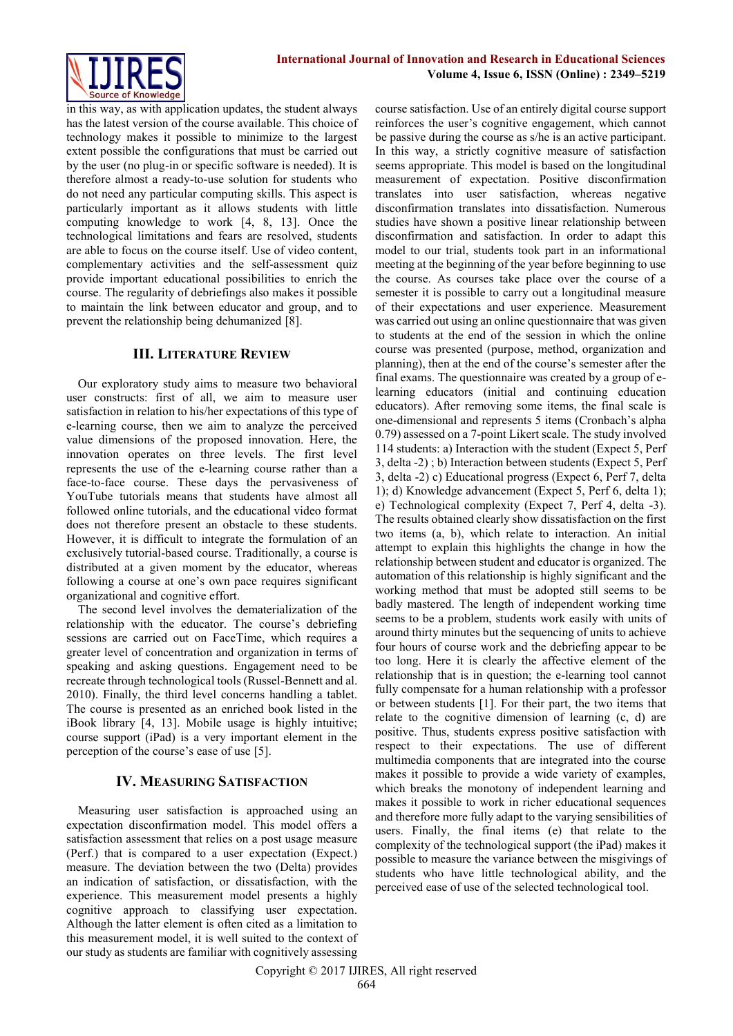

in this way, as with application updates, the student always has the latest version of the course available. This choice of technology makes it possible to minimize to the largest extent possible the configurations that must be carried out by the user (no plug-in or specific software is needed). It is therefore almost a ready-to-use solution for students who do not need any particular computing skills. This aspect is particularly important as it allows students with little computing knowledge to work [4, 8, 13]. Once the technological limitations and fears are resolved, students are able to focus on the course itself. Use of video content, complementary activities and the self-assessment quiz provide important educational possibilities to enrich the course. The regularity of debriefings also makes it possible to maintain the link between educator and group, and to prevent the relationship being dehumanized [8].

# **III. LITERATURE REVIEW**

Our exploratory study aims to measure two behavioral user constructs: first of all, we aim to measure user satisfaction in relation to his/her expectations of this type of e-learning course, then we aim to analyze the perceived value dimensions of the proposed innovation. Here, the innovation operates on three levels. The first level represents the use of the e-learning course rather than a face-to-face course. These days the pervasiveness of YouTube tutorials means that students have almost all followed online tutorials, and the educational video format does not therefore present an obstacle to these students. However, it is difficult to integrate the formulation of an exclusively tutorial-based course. Traditionally, a course is distributed at a given moment by the educator, whereas following a course at one's own pace requires significant organizational and cognitive effort.

The second level involves the dematerialization of the relationship with the educator. The course's debriefing sessions are carried out on FaceTime, which requires a greater level of concentration and organization in terms of speaking and asking questions. Engagement need to be recreate through technological tools (Russel-Bennett and al. 2010). Finally, the third level concerns handling a tablet. The course is presented as an enriched book listed in the iBook library [4, 13]. Mobile usage is highly intuitive; course support (iPad) is a very important element in the perception of the course's ease of use [5].

# **IV. MEASURING SATISFACTION**

Measuring user satisfaction is approached using an expectation disconfirmation model. This model offers a satisfaction assessment that relies on a post usage measure (Perf.) that is compared to a user expectation (Expect.) measure. The deviation between the two (Delta) provides an indication of satisfaction, or dissatisfaction, with the experience. This measurement model presents a highly cognitive approach to classifying user expectation. Although the latter element is often cited as a limitation to this measurement model, it is well suited to the context of our study as students are familiar with cognitively assessing course satisfaction. Use of an entirely digital course support reinforces the user's cognitive engagement, which cannot be passive during the course as s/he is an active participant. In this way, a strictly cognitive measure of satisfaction seems appropriate. This model is based on the longitudinal measurement of expectation. Positive disconfirmation translates into user satisfaction, whereas negative disconfirmation translates into dissatisfaction. Numerous studies have shown a positive linear relationship between disconfirmation and satisfaction. In order to adapt this model to our trial, students took part in an informational meeting at the beginning of the year before beginning to use the course. As courses take place over the course of a semester it is possible to carry out a longitudinal measure of their expectations and user experience. Measurement was carried out using an online questionnaire that was given to students at the end of the session in which the online course was presented (purpose, method, organization and planning), then at the end of the course's semester after the final exams. The questionnaire was created by a group of elearning educators (initial and continuing education educators). After removing some items, the final scale is one-dimensional and represents 5 items (Cronbach's alpha 0.79) assessed on a 7-point Likert scale. The study involved 114 students: a) Interaction with the student (Expect 5, Perf 3, delta -2) ; b) Interaction between students (Expect 5, Perf 3, delta -2) c) Educational progress (Expect 6, Perf 7, delta 1); d) Knowledge advancement (Expect 5, Perf 6, delta 1); e) Technological complexity (Expect 7, Perf 4, delta -3). The results obtained clearly show dissatisfaction on the first two items (a, b), which relate to interaction. An initial attempt to explain this highlights the change in how the relationship between student and educator is organized. The automation of this relationship is highly significant and the working method that must be adopted still seems to be badly mastered. The length of independent working time seems to be a problem, students work easily with units of around thirty minutes but the sequencing of units to achieve four hours of course work and the debriefing appear to be too long. Here it is clearly the affective element of the relationship that is in question; the e-learning tool cannot fully compensate for a human relationship with a professor or between students [1]. For their part, the two items that relate to the cognitive dimension of learning (c, d) are positive. Thus, students express positive satisfaction with respect to their expectations. The use of different multimedia components that are integrated into the course makes it possible to provide a wide variety of examples, which breaks the monotony of independent learning and makes it possible to work in richer educational sequences and therefore more fully adapt to the varying sensibilities of users. Finally, the final items (e) that relate to the complexity of the technological support (the iPad) makes it possible to measure the variance between the misgivings of students who have little technological ability, and the perceived ease of use of the selected technological tool.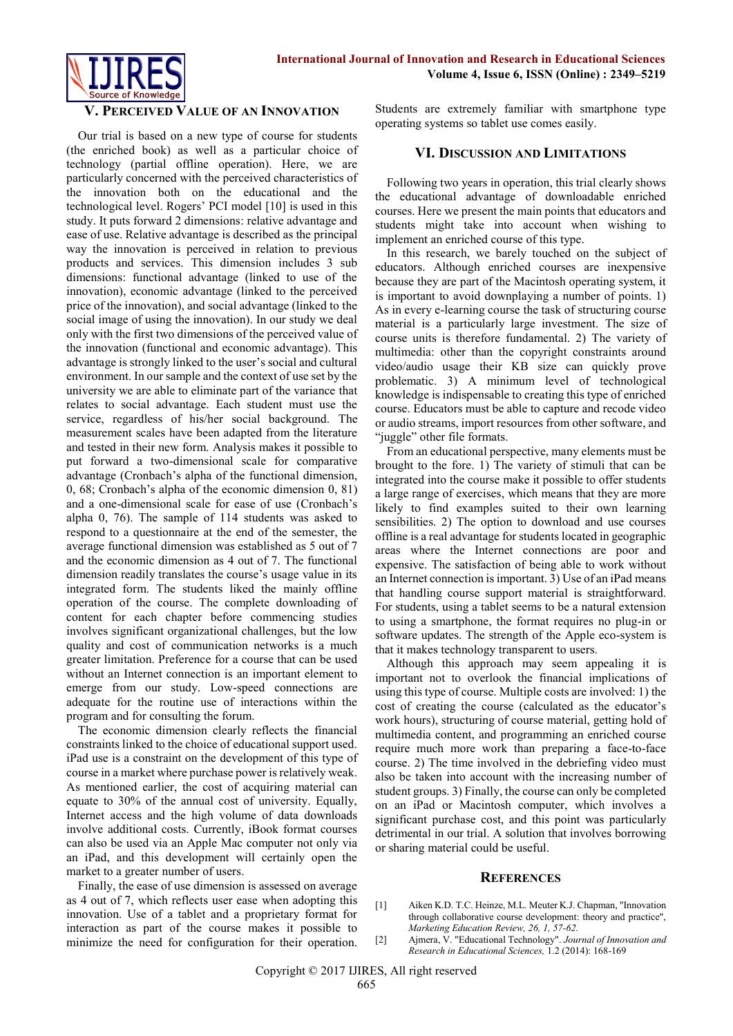

### **V. PERCEIVED VALUE OF AN INNOVATION**

Our trial is based on a new type of course for students (the enriched book) as well as a particular choice of technology (partial offline operation). Here, we are particularly concerned with the perceived characteristics of the innovation both on the educational and the technological level. Rogers' PCI model [10] is used in this study. It puts forward 2 dimensions: relative advantage and ease of use. Relative advantage is described as the principal way the innovation is perceived in relation to previous products and services. This dimension includes 3 sub dimensions: functional advantage (linked to use of the innovation), economic advantage (linked to the perceived price of the innovation), and social advantage (linked to the social image of using the innovation). In our study we deal only with the first two dimensions of the perceived value of the innovation (functional and economic advantage). This advantage is strongly linked to the user's social and cultural environment. In our sample and the context of use set by the university we are able to eliminate part of the variance that relates to social advantage. Each student must use the service, regardless of his/her social background. The measurement scales have been adapted from the literature and tested in their new form. Analysis makes it possible to put forward a two-dimensional scale for comparative advantage (Cronbach's alpha of the functional dimension, 0, 68; Cronbach's alpha of the economic dimension 0, 81) and a one-dimensional scale for ease of use (Cronbach's alpha 0, 76). The sample of 114 students was asked to respond to a questionnaire at the end of the semester, the average functional dimension was established as 5 out of 7 and the economic dimension as 4 out of 7. The functional dimension readily translates the course's usage value in its integrated form. The students liked the mainly offline operation of the course. The complete downloading of content for each chapter before commencing studies involves significant organizational challenges, but the low quality and cost of communication networks is a much greater limitation. Preference for a course that can be used without an Internet connection is an important element to emerge from our study. Low-speed connections are adequate for the routine use of interactions within the program and for consulting the forum.

The economic dimension clearly reflects the financial constraints linked to the choice of educational support used. iPad use is a constraint on the development of this type of course in a market where purchase power is relatively weak. As mentioned earlier, the cost of acquiring material can equate to 30% of the annual cost of university. Equally, Internet access and the high volume of data downloads involve additional costs. Currently, iBook format courses can also be used via an Apple Mac computer not only via an iPad, and this development will certainly open the market to a greater number of users.

Finally, the ease of use dimension is assessed on average as 4 out of 7, which reflects user ease when adopting this innovation. Use of a tablet and a proprietary format for interaction as part of the course makes it possible to minimize the need for configuration for their operation. Students are extremely familiar with smartphone type operating systems so tablet use comes easily.

#### **VI. DISCUSSION AND LIMITATIONS**

Following two years in operation, this trial clearly shows the educational advantage of downloadable enriched courses. Here we present the main points that educators and students might take into account when wishing to implement an enriched course of this type.

In this research, we barely touched on the subject of educators. Although enriched courses are inexpensive because they are part of the Macintosh operating system, it is important to avoid downplaying a number of points. 1) As in every e-learning course the task of structuring course material is a particularly large investment. The size of course units is therefore fundamental. 2) The variety of multimedia: other than the copyright constraints around video/audio usage their KB size can quickly prove problematic. 3) A minimum level of technological knowledge is indispensable to creating this type of enriched course. Educators must be able to capture and recode video or audio streams, import resources from other software, and "juggle" other file formats.

From an educational perspective, many elements must be brought to the fore. 1) The variety of stimuli that can be integrated into the course make it possible to offer students a large range of exercises, which means that they are more likely to find examples suited to their own learning sensibilities. 2) The option to download and use courses offline is a real advantage for students located in geographic areas where the Internet connections are poor and expensive. The satisfaction of being able to work without an Internet connection is important. 3) Use of an iPad means that handling course support material is straightforward. For students, using a tablet seems to be a natural extension to using a smartphone, the format requires no plug-in or software updates. The strength of the Apple eco-system is that it makes technology transparent to users.

Although this approach may seem appealing it is important not to overlook the financial implications of using this type of course. Multiple costs are involved: 1) the cost of creating the course (calculated as the educator's work hours), structuring of course material, getting hold of multimedia content, and programming an enriched course require much more work than preparing a face-to-face course. 2) The time involved in the debriefing video must also be taken into account with the increasing number of student groups. 3) Finally, the course can only be completed on an iPad or Macintosh computer, which involves a significant purchase cost, and this point was particularly detrimental in our trial. A solution that involves borrowing or sharing material could be useful.

#### **REFERENCES**

- [1] Aiken K.D. T.C. Heinze, M.L. Meuter K.J. Chapman, "Innovation through collaborative course development: theory and practice", *Marketing Education Review, 26, 1, 57-62.*
- [2] Ajmera, V. "Educational Technology". *Journal of Innovation and Research in Educational Sciences,* 1.2 (2014): 168-169